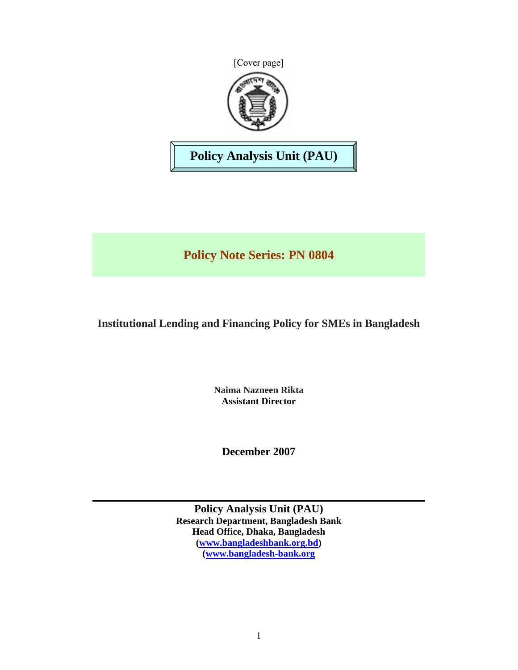



**Policy Analysis Unit (PAU)** 

**Policy Note Series: PN 0804** 

# **Institutional Lending and Financing Policy for SMEs in Bangladesh**

**Naima Nazneen Rikta Assistant Director** 

**December 2007** 

**Policy Analysis Unit (PAU) Research Department, Bangladesh Bank Head Office, Dhaka, Bangladesh (www.bangladeshbank.org.bd) (www.bangladesh-bank.org**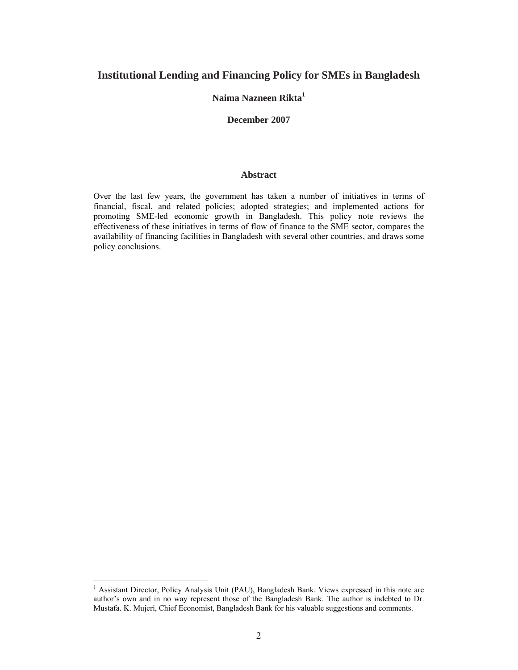# **Institutional Lending and Financing Policy for SMEs in Bangladesh**

# **Naima Nazneen Rikta1**

#### **December 2007**

#### **Abstract**

Over the last few years, the government has taken a number of initiatives in terms of financial, fiscal, and related policies; adopted strategies; and implemented actions for promoting SME-led economic growth in Bangladesh. This policy note reviews the effectiveness of these initiatives in terms of flow of finance to the SME sector, compares the availability of financing facilities in Bangladesh with several other countries, and draws some policy conclusions.

 $\overline{a}$ 

<sup>&</sup>lt;sup>1</sup> Assistant Director, Policy Analysis Unit (PAU), Bangladesh Bank. Views expressed in this note are author's own and in no way represent those of the Bangladesh Bank. The author is indebted to Dr. Mustafa. K. Mujeri, Chief Economist, Bangladesh Bank for his valuable suggestions and comments.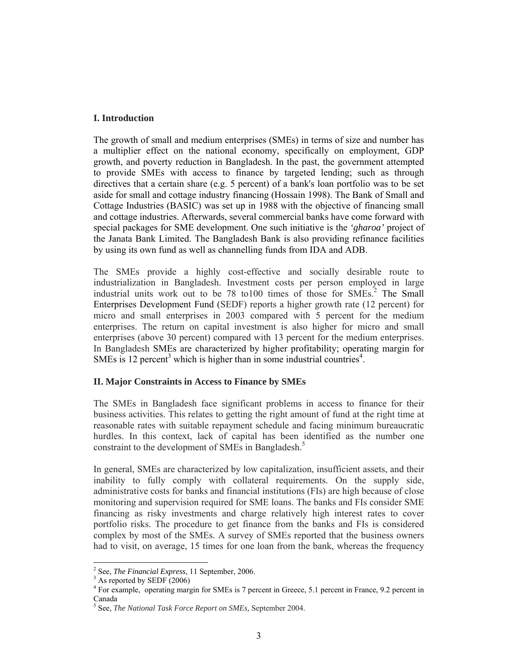## **I. Introduction**

The growth of small and medium enterprises (SMEs) in terms of size and number has a multiplier effect on the national economy, specifically on employment, GDP growth, and poverty reduction in Bangladesh. In the past, the government attempted to provide SMEs with access to finance by targeted lending; such as through directives that a certain share (e.g. 5 percent) of a bank's loan portfolio was to be set aside for small and cottage industry financing (Hossain 1998). The Bank of Small and Cottage Industries (BASIC) was set up in 1988 with the objective of financing small and cottage industries. Afterwards, several commercial banks have come forward with special packages for SME development. One such initiative is the *'gharoa'* project of the Janata Bank Limited. The Bangladesh Bank is also providing refinance facilities by using its own fund as well as channelling funds from IDA and ADB.

The SMEs provide a highly cost-effective and socially desirable route to industrialization in Bangladesh. Investment costs per person employed in large industrial units work out to be 78 to100 times of those for SMEs.<sup>2</sup> The Small Enterprises Development Fund (SEDF) reports a higher growth rate (12 percent) for micro and small enterprises in 2003 compared with 5 percent for the medium enterprises. The return on capital investment is also higher for micro and small enterprises (above 30 percent) compared with 13 percent for the medium enterprises. In Bangladesh SMEs are characterized by higher profitability; operating margin for SMEs is 12 percent<sup>3</sup> which is higher than in some industrial countries<sup>4</sup>.

## **II. Major Constraints in Access to Finance by SMEs**

The SMEs in Bangladesh face significant problems in access to finance for their business activities. This relates to getting the right amount of fund at the right time at reasonable rates with suitable repayment schedule and facing minimum bureaucratic hurdles. In this context, lack of capital has been identified as the number one constraint to the development of SMEs in Bangladesh.<sup>5</sup>

In general, SMEs are characterized by low capitalization, insufficient assets, and their inability to fully comply with collateral requirements. On the supply side, administrative costs for banks and financial institutions (FIs) are high because of close monitoring and supervision required for SME loans. The banks and FIs consider SME financing as risky investments and charge relatively high interest rates to cover portfolio risks. The procedure to get finance from the banks and FIs is considered complex by most of the SMEs. A survey of SMEs reported that the business owners had to visit, on average, 15 times for one loan from the bank, whereas the frequency

 $\overline{a}$ 

<sup>&</sup>lt;sup>2</sup> See, *The Financial Express*, 11 September, 2006.

 $A<sup>3</sup>$  As reported by SEDF (2006)

<sup>&</sup>lt;sup>4</sup> For example, operating margin for SMEs is 7 percent in Greece, 5.1 percent in France, 9.2 percent in Canada

<sup>5</sup> See, *The National Task Force Report on SMEs,* September 2004.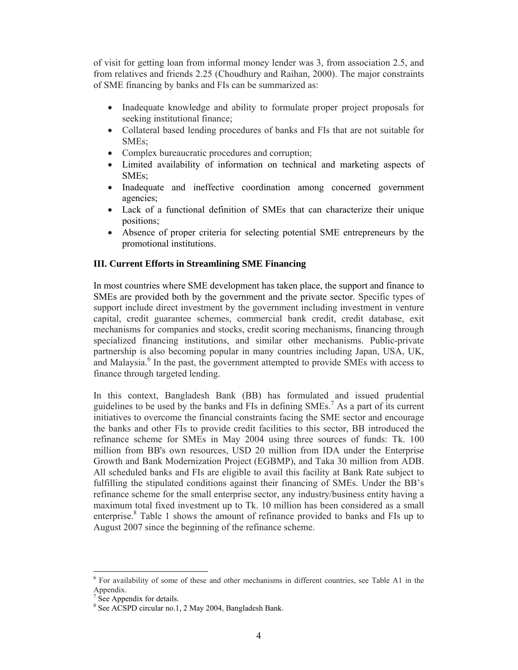of visit for getting loan from informal money lender was 3, from association 2.5, and from relatives and friends 2.25 (Choudhury and Raihan, 2000). The major constraints of SME financing by banks and FIs can be summarized as:

- Inadequate knowledge and ability to formulate proper project proposals for seeking institutional finance;
- Collateral based lending procedures of banks and FIs that are not suitable for SMEs;
- Complex bureaucratic procedures and corruption;
- Limited availability of information on technical and marketing aspects of SMEs;
- Inadequate and ineffective coordination among concerned government agencies;
- Lack of a functional definition of SMEs that can characterize their unique positions;
- Absence of proper criteria for selecting potential SME entrepreneurs by the promotional institutions.

## **III. Current Efforts in Streamlining SME Financing**

In most countries where SME development has taken place, the support and finance to SMEs are provided both by the government and the private sector. Specific types of support include direct investment by the government including investment in venture capital, credit guarantee schemes, commercial bank credit, credit database, exit mechanisms for companies and stocks, credit scoring mechanisms, financing through specialized financing institutions, and similar other mechanisms. Public-private partnership is also becoming popular in many countries including Japan, USA, UK, and Malaysia.<sup>6</sup> In the past, the government attempted to provide SMEs with access to finance through targeted lending.

In this context, Bangladesh Bank (BB) has formulated and issued prudential guidelines to be used by the banks and FIs in defining  $SMEs$ .<sup>7</sup> As a part of its current initiatives to overcome the financial constraints facing the SME sector and encourage the banks and other FIs to provide credit facilities to this sector, BB introduced the refinance scheme for SMEs in May 2004 using three sources of funds: Tk. 100 million from BB's own resources, USD 20 million from IDA under the Enterprise Growth and Bank Modernization Project (EGBMP), and Taka 30 million from ADB. All scheduled banks and FIs are eligible to avail this facility at Bank Rate subject to fulfilling the stipulated conditions against their financing of SMEs. Under the BB's refinance scheme for the small enterprise sector, any industry/business entity having a maximum total fixed investment up to Tk. 10 million has been considered as a small enterprise.<sup>8</sup> Table 1 shows the amount of refinance provided to banks and FIs up to August 2007 since the beginning of the refinance scheme.

 $\overline{a}$ 

<sup>6</sup> For availability of some of these and other mechanisms in different countries, see Table A1 in the Appendix.

<sup>7</sup> See Appendix for details.

<sup>8</sup> See ACSPD circular no.1, 2 May 2004, Bangladesh Bank.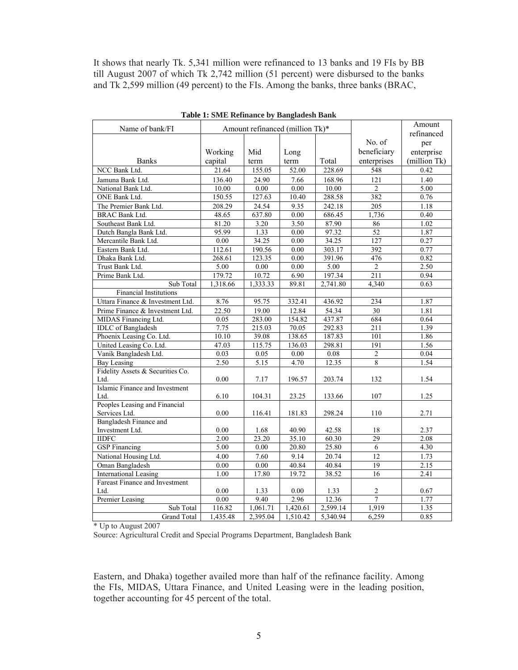It shows that nearly Tk. 5,341 million were refinanced to 13 banks and 19 FIs by BB till August 2007 of which Tk 2,742 million (51 percent) were disbursed to the banks and Tk 2,599 million (49 percent) to the FIs. Among the banks, three banks (BRAC,

| Name of bank/FI                  |                                 |                   |                   | Amount     |                  |              |  |
|----------------------------------|---------------------------------|-------------------|-------------------|------------|------------------|--------------|--|
|                                  | Amount refinanced (million Tk)* |                   |                   | refinanced |                  |              |  |
|                                  |                                 |                   |                   |            | No. of           | per          |  |
|                                  | Working                         | Mid               | Long              |            | beneficiary      | enterprise   |  |
| <b>Banks</b>                     | capital                         | term              | term              | Total      | enterprises      | (million Tk) |  |
| <b>NCC Bank Ltd</b>              | 21.64                           | 155.05            | 52.00             | 228.69     | 548              | 0.42         |  |
| Jamuna Bank Ltd.                 | 136.40                          | 24.90             | 7.66              | 168.96     | 121              | 1.40         |  |
| National Bank Ltd.               | 10.00                           | 0.00              | $\overline{0.00}$ | 10.00      | $\overline{2}$   | 5.00         |  |
| ONE Bank Ltd.                    | 150.55                          | 127.63            | 10.40             | 288.58     | 382              | 0.76         |  |
| The Premier Bank Ltd.            | 208.29                          | 24.54             | 9.35              | 242.18     | $\overline{205}$ | 1.18         |  |
| <b>BRAC Bank Ltd.</b>            | 48.65                           | 637.80            | 0.00              | 686.45     | 1,736            | 0.40         |  |
| Southeast Bank Ltd.              | 81.20                           | 3.20              | 3.50              | 87.90      | 86               | 1.02         |  |
| Dutch Bangla Bank Ltd.           | 95.99                           | 1.33              | 0.00              | 97.32      | 52               | 1.87         |  |
| Mercantile Bank Ltd.             | 0.00                            | 34.25             | 0.00              | 34.25      | 127              | 0.27         |  |
| Eastern Bank Ltd.                | 112.61                          | 190.56            | 0.00              | 303.17     | 392              | 0.77         |  |
| Dhaka Bank Ltd.                  | 268.61                          | 123.35            | $\overline{0.00}$ | 391.96     | 476              | 0.82         |  |
| Trust Bank Ltd.                  | $\overline{5.00}$               | $\overline{0.00}$ | 0.00              | 5.00       | 2                | 2.50         |  |
| Prime Bank Ltd.                  | 179.72                          | 10.72             | 6.90              | 197.34     | 211              | 0.94         |  |
| Sub Total                        | 1,318.66                        | 1,333.33          | 89.81             | 2,741.80   | 4,340            | 0.63         |  |
| <b>Financial Institutions</b>    |                                 |                   |                   |            |                  |              |  |
| Uttara Finance & Investment Ltd. | 8.76                            | 95.75             | 332.41            | 436.92     | 234              | 1.87         |  |
| Prime Finance & Investment Ltd.  | 22.50                           | 19.00             | 12.84             | 54.34      | 30               | 1.81         |  |
| MIDAS Financing Ltd.             | 0.05                            | 283.00            | 154.82            | 437.87     | 684              | 0.64         |  |
| <b>IDLC</b> of Bangladesh        | 7.75                            | 215.03            | 70.05             | 292.83     | $\overline{211}$ | 1.39         |  |
| Phoenix Leasing Co. Ltd.         | 10.10                           | 39.08             | 138.65            | 187.83     | 101              | 1.86         |  |
| United Leasing Co. Ltd.          | 47.03                           | 115.75            | 136.03            | 298.81     | 191              | 1.56         |  |
| Vanik Bangladesh Ltd.            | 0.03                            | 0.05              | 0.00              | 0.08       | $\overline{2}$   | 0.04         |  |
| <b>Bay Leasing</b>               | 2.50                            | 5.15              | 4.70              | 12.35      | 8                | 1.54         |  |
| Fidelity Assets & Securities Co. |                                 |                   |                   |            |                  |              |  |
| Ltd.                             | 0.00                            | 7.17              | 196.57            | 203.74     | 132              | 1.54         |  |
| Islamic Finance and Investment   |                                 |                   |                   |            |                  |              |  |
| Ltd.                             | 6.10                            | 104.31            | 23.25             | 133.66     | 107              | 1.25         |  |
| Peoples Leasing and Financial    |                                 |                   |                   |            |                  |              |  |
| Services Ltd.                    | 0.00                            | 116.41            | 181.83            | 298.24     | 110              | 2.71         |  |
| Bangladesh Finance and           |                                 |                   |                   |            |                  |              |  |
| Investment Ltd.                  | 0.00                            | 1.68              | 40.90             | 42.58      | 18               | 2.37         |  |
| <b>IIDFC</b>                     | 2.00                            | 23.20             | 35.10             | 60.30      | 29               | 2.08         |  |
| <b>GSP</b> Financing             | 5.00                            | 0.00              | 20.80             | 25.80      | 6                | 4.30         |  |
| National Housing Ltd.            | 4.00                            | 7.60              | 9.14              | 20.74      | 12               | 1.73         |  |
| Oman Bangladesh                  | 0.00                            | 0.00              | 40.84             | 40.84      | $\overline{19}$  | 2.15         |  |
| <b>International Leasing</b>     | 1.00                            | 17.80             | 19.72             | 38.52      | 16               | 2.41         |  |
| Fareast Finance and Investment   |                                 |                   |                   |            |                  |              |  |
| Ltd.                             | $0.00\,$                        | 1.33              | 0.00              | 1.33       | $\overline{c}$   | 0.67         |  |
| Premier Leasing                  | 0.00                            | 9.40              | 2.96              | 12.36      | $\overline{7}$   | 1.77         |  |
| Sub Total                        | 116.82                          | 1,061.71          | 1,420.61          | 2,599.14   | 1,919            | 1.35         |  |
| <b>Grand Total</b>               | 1,435.48                        | 2,395.04          | 1,510.42          | 5,340.94   | 6,259            | 0.85         |  |

**Table 1: SME Refinance by Bangladesh Bank**

\* Up to August 2007

Source: Agricultural Credit and Special Programs Department, Bangladesh Bank

Eastern, and Dhaka) together availed more than half of the refinance facility. Among the FIs, MIDAS, Uttara Finance, and United Leasing were in the leading position, together accounting for 45 percent of the total.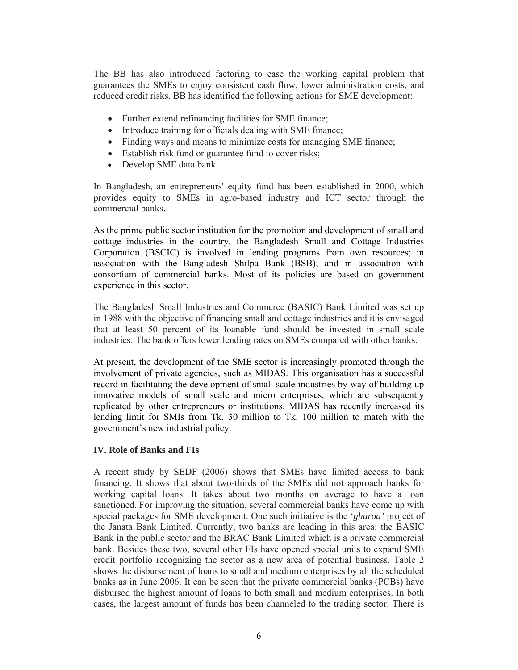The BB has also introduced factoring to ease the working capital problem that guarantees the SMEs to enjoy consistent cash flow, lower administration costs, and reduced credit risks. BB has identified the following actions for SME development:

- Further extend refinancing facilities for SME finance;
- Introduce training for officials dealing with SME finance;
- Finding ways and means to minimize costs for managing SME finance;
- Establish risk fund or guarantee fund to cover risks;
- Develop SME data bank.

In Bangladesh, an entrepreneurs' equity fund has been established in 2000, which provides equity to SMEs in agro-based industry and ICT sector through the commercial banks.

As the prime public sector institution for the promotion and development of small and cottage industries in the country, the Bangladesh Small and Cottage Industries Corporation (BSCIC) is involved in lending programs from own resources; in association with the Bangladesh Shilpa Bank (BSB); and in association with consortium of commercial banks. Most of its policies are based on government experience in this sector.

The Bangladesh Small Industries and Commerce (BASIC) Bank Limited was set up in 1988 with the objective of financing small and cottage industries and it is envisaged that at least 50 percent of its loanable fund should be invested in small scale industries. The bank offers lower lending rates on SMEs compared with other banks.

At present, the development of the SME sector is increasingly promoted through the involvement of private agencies, such as MIDAS. This organisation has a successful record in facilitating the development of small scale industries by way of building up innovative models of small scale and micro enterprises, which are subsequently replicated by other entrepreneurs or institutions. MIDAS has recently increased its lending limit for SMIs from Tk. 30 million to Tk. 100 million to match with the government's new industrial policy.

## **IV. Role of Banks and FIs**

A recent study by SEDF (2006) shows that SMEs have limited access to bank financing. It shows that about two-thirds of the SMEs did not approach banks for working capital loans. It takes about two months on average to have a loan sanctioned. For improving the situation, several commercial banks have come up with special packages for SME development. One such initiative is the '*gharoa'* project of the Janata Bank Limited. Currently, two banks are leading in this area: the BASIC Bank in the public sector and the BRAC Bank Limited which is a private commercial bank. Besides these two, several other FIs have opened special units to expand SME credit portfolio recognizing the sector as a new area of potential business. Table 2 shows the disbursement of loans to small and medium enterprises by all the scheduled banks as in June 2006. It can be seen that the private commercial banks (PCBs) have disbursed the highest amount of loans to both small and medium enterprises. In both cases, the largest amount of funds has been channeled to the trading sector. There is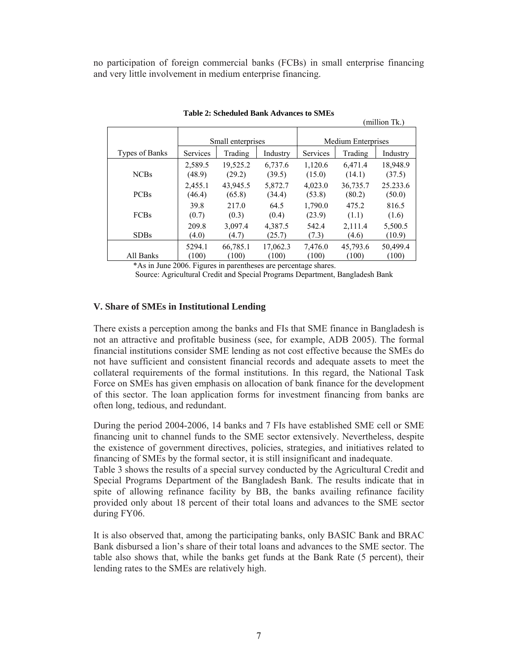no participation of foreign commercial banks (FCBs) in small enterprise financing and very little involvement in medium enterprise financing.

| (million Tk.)  |                   |                    |                   |                           |                    |                    |  |  |
|----------------|-------------------|--------------------|-------------------|---------------------------|--------------------|--------------------|--|--|
|                | Small enterprises |                    |                   | <b>Medium Enterprises</b> |                    |                    |  |  |
| Types of Banks | <b>Services</b>   | Trading            | Industry          | <b>Services</b>           | Trading            | Industry           |  |  |
|                | 2.589.5           | 19,525.2           | 6.737.6           | 1.120.6                   | 6.471.4            | 18,948.9           |  |  |
| <b>NCBs</b>    | (48.9)<br>2,455.1 | (29.2)<br>43,945.5 | (39.5)<br>5,872.7 | (15.0)<br>4,023.0         | (14.1)<br>36,735.7 | (37.5)<br>25.233.6 |  |  |
| <b>PCBs</b>    | (46.4)            | (65.8)             | (34.4)            | (53.8)                    | (80.2)             | (50.0)             |  |  |
| <b>FCBs</b>    | 39.8<br>(0.7)     | 217.0<br>(0.3)     | 64.5<br>(0.4)     | 1,790.0<br>(23.9)         | 475.2<br>(1.1)     | 816.5<br>(1.6)     |  |  |
| <b>SDBs</b>    | 209.8<br>(4.0)    | 3,097.4<br>(4.7)   | 4,387.5<br>(25.7) | 542.4<br>(7.3)            | 2,111.4<br>(4.6)   | 5,500.5<br>(10.9)  |  |  |
| All Banks      | 5294.1<br>(100)   | 66,785.1<br>(100)  | 17,062.3<br>(100) | 7,476.0<br>(100)          | 45,793.6<br>(100)  | 50,499.4<br>(100)  |  |  |

**Table 2: Scheduled Bank Advances to SMEs**

\*As in June 2006. Figures in parentheses are percentage shares.

Source: Agricultural Credit and Special Programs Department, Bangladesh Bank

## **V. Share of SMEs in Institutional Lending**

There exists a perception among the banks and FIs that SME finance in Bangladesh is not an attractive and profitable business (see, for example, ADB 2005). The formal financial institutions consider SME lending as not cost effective because the SMEs do not have sufficient and consistent financial records and adequate assets to meet the collateral requirements of the formal institutions. In this regard, the National Task Force on SMEs has given emphasis on allocation of bank finance for the development of this sector. The loan application forms for investment financing from banks are often long, tedious, and redundant.

During the period 2004-2006, 14 banks and 7 FIs have established SME cell or SME financing unit to channel funds to the SME sector extensively. Nevertheless, despite the existence of government directives, policies, strategies, and initiatives related to financing of SMEs by the formal sector, it is still insignificant and inadequate.

Table 3 shows the results of a special survey conducted by the Agricultural Credit and Special Programs Department of the Bangladesh Bank. The results indicate that in spite of allowing refinance facility by BB, the banks availing refinance facility provided only about 18 percent of their total loans and advances to the SME sector during FY06.

It is also observed that, among the participating banks, only BASIC Bank and BRAC Bank disbursed a lion's share of their total loans and advances to the SME sector. The table also shows that, while the banks get funds at the Bank Rate (5 percent), their lending rates to the SMEs are relatively high.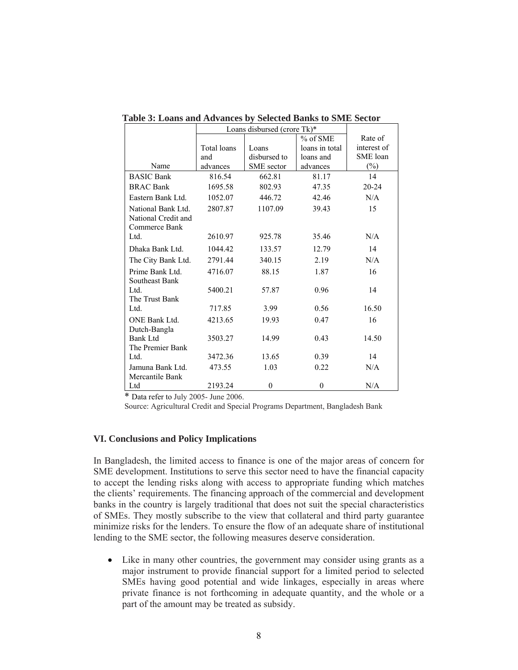|                      | Loans disbursed (crore Tk)* |              |                |             |
|----------------------|-----------------------------|--------------|----------------|-------------|
|                      | % of SME                    |              |                | Rate of     |
|                      | Total loans                 | Loans        | loans in total | interest of |
|                      | and                         | disbursed to | loans and      | SME loan    |
| Name                 | advances                    | SME sector   | advances       | $(\%)$      |
| <b>BASIC Bank</b>    | 816.54                      | 662.81       | 81.17          | 14          |
| <b>BRAC Bank</b>     | 1695.58                     | 802.93       | 47.35          | $20 - 24$   |
| Eastern Bank Ltd.    | 1052.07                     | 446.72       | 42.46          | N/A         |
| National Bank Ltd.   | 2807.87                     | 1107.09      | 39.43          | 15          |
| National Credit and  |                             |              |                |             |
| Commerce Bank        |                             |              |                |             |
| Ltd.                 | 2610.97                     | 925.78       | 35.46          | N/A         |
| Dhaka Bank Ltd.      | 1044.42                     | 133.57       | 12.79          | 14          |
| The City Bank Ltd.   | 2791.44                     | 340.15       | 2.19           | N/A         |
| Prime Bank Ltd.      | 4716.07                     | 88.15        | 1.87           | 16          |
| Southeast Bank       |                             |              |                |             |
| Ltd.                 | 5400.21                     | 57.87        | 0.96           | 14          |
| The Trust Bank       |                             |              |                |             |
| Ltd.                 | 717.85                      | 3.99         | 0.56           | 16.50       |
| <b>ONE Bank Ltd.</b> | 4213.65                     | 19.93        | 0.47           | 16          |
| Dutch-Bangla         |                             |              |                |             |
| Bank Ltd             | 3503.27                     | 14.99        | 0.43           | 14.50       |
| The Premier Bank     |                             |              |                |             |
| Ltd.                 | 3472.36                     | 13.65        | 0.39           | 14          |
| Jamuna Bank Ltd.     | 473.55                      | 1.03         | 0.22           | N/A         |
| Mercantile Bank      |                             |              |                |             |
| Ltd                  | 2193.24                     | $\theta$     | $\theta$       | N/A         |

 **Table 3: Loans and Advances by Selected Banks to SME Sector** 

\* Data refer to July 2005- June 2006.

Source: Agricultural Credit and Special Programs Department, Bangladesh Bank

#### **VI. Conclusions and Policy Implications**

In Bangladesh, the limited access to finance is one of the major areas of concern for SME development. Institutions to serve this sector need to have the financial capacity to accept the lending risks along with access to appropriate funding which matches the clients' requirements. The financing approach of the commercial and development banks in the country is largely traditional that does not suit the special characteristics of SMEs. They mostly subscribe to the view that collateral and third party guarantee minimize risks for the lenders. To ensure the flow of an adequate share of institutional lending to the SME sector, the following measures deserve consideration.

• Like in many other countries, the government may consider using grants as a major instrument to provide financial support for a limited period to selected SMEs having good potential and wide linkages, especially in areas where private finance is not forthcoming in adequate quantity, and the whole or a part of the amount may be treated as subsidy.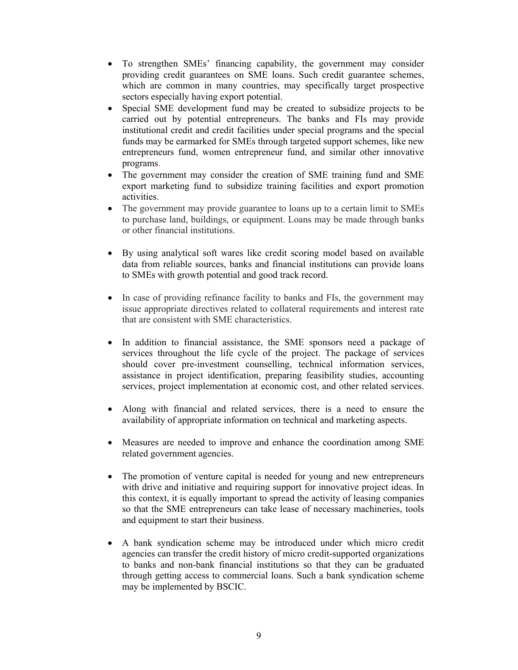- To strengthen SMEs' financing capability, the government may consider providing credit guarantees on SME loans. Such credit guarantee schemes, which are common in many countries, may specifically target prospective sectors especially having export potential.
- Special SME development fund may be created to subsidize projects to be carried out by potential entrepreneurs. The banks and FIs may provide institutional credit and credit facilities under special programs and the special funds may be earmarked for SMEs through targeted support schemes, like new entrepreneurs fund, women entrepreneur fund, and similar other innovative programs.
- The government may consider the creation of SME training fund and SME export marketing fund to subsidize training facilities and export promotion activities.
- The government may provide guarantee to loans up to a certain limit to SMEs to purchase land, buildings, or equipment. Loans may be made through banks or other financial institutions.
- By using analytical soft wares like credit scoring model based on available data from reliable sources, banks and financial institutions can provide loans to SMEs with growth potential and good track record.
- In case of providing refinance facility to banks and FIs, the government may issue appropriate directives related to collateral requirements and interest rate that are consistent with SME characteristics.
- In addition to financial assistance, the SME sponsors need a package of services throughout the life cycle of the project. The package of services should cover pre-investment counselling, technical information services, assistance in project identification, preparing feasibility studies, accounting services, project implementation at economic cost, and other related services.
- Along with financial and related services, there is a need to ensure the availability of appropriate information on technical and marketing aspects.
- Measures are needed to improve and enhance the coordination among SME related government agencies.
- The promotion of venture capital is needed for young and new entrepreneurs with drive and initiative and requiring support for innovative project ideas. In this context, it is equally important to spread the activity of leasing companies so that the SME entrepreneurs can take lease of necessary machineries, tools and equipment to start their business.
- A bank syndication scheme may be introduced under which micro credit agencies can transfer the credit history of micro credit-supported organizations to banks and non-bank financial institutions so that they can be graduated through getting access to commercial loans. Such a bank syndication scheme may be implemented by BSCIC.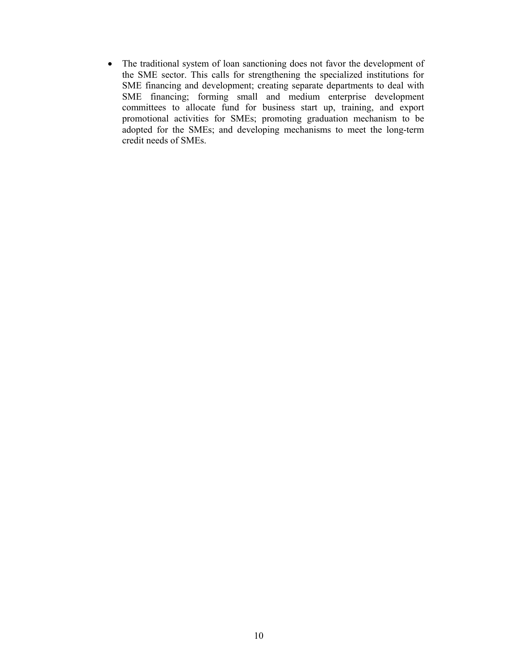• The traditional system of loan sanctioning does not favor the development of the SME sector. This calls for strengthening the specialized institutions for SME financing and development; creating separate departments to deal with SME financing; forming small and medium enterprise development committees to allocate fund for business start up, training, and export promotional activities for SMEs; promoting graduation mechanism to be adopted for the SMEs; and developing mechanisms to meet the long-term credit needs of SMEs.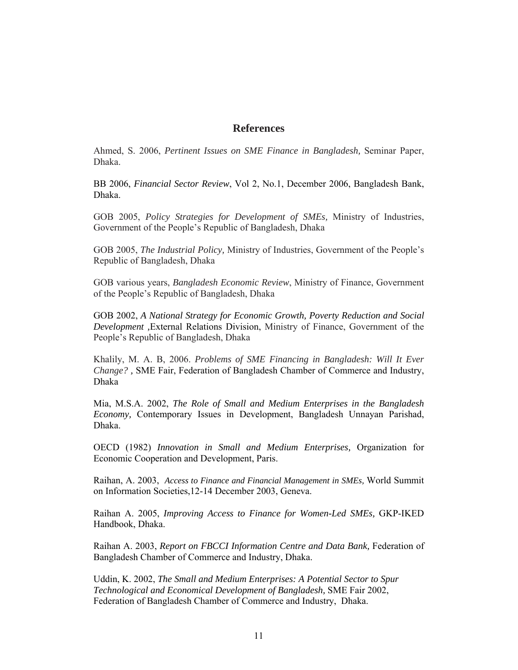# **References**

Ahmed, S. 2006, *Pertinent Issues on SME Finance in Bangladesh,* Seminar Paper, Dhaka.

BB 2006, *Financial Sector Review*, Vol 2, No.1, December 2006, Bangladesh Bank, Dhaka.

GOB 2005, *Policy Strategies for Development of SMEs,* Ministry of Industries, Government of the People's Republic of Bangladesh, Dhaka

GOB 2005, *The Industrial Policy,* Ministry of Industries, Government of the People's Republic of Bangladesh, Dhaka

GOB various years, *Bangladesh Economic Review*, Ministry of Finance, Government of the People's Republic of Bangladesh, Dhaka

GOB 2002, *A National Strategy for Economic Growth, Poverty Reduction and Social Development ,*External Relations Division, Ministry of Finance, Government of the People's Republic of Bangladesh, Dhaka

Khalily, M. A. B, 2006. *Problems of SME Financing in Bangladesh: Will It Ever Change? ,* SME Fair, Federation of Bangladesh Chamber of Commerce and Industry, Dhaka

Mia, M.S.A. 2002, *The Role of Small and Medium Enterprises in the Bangladesh Economy,* Contemporary Issues in Development, Bangladesh Unnayan Parishad, Dhaka.

OECD (1982) *Innovation in Small and Medium Enterprises,* Organization for Economic Cooperation and Development, Paris.

Raihan, A. 2003, *Access to Finance and Financial Management in SMEs,* World Summit on Information Societies,12-14 December 2003, Geneva.

Raihan A. 2005, *Improving Access to Finance for Women-Led SMEs,* GKP-IKED Handbook, Dhaka.

Raihan A. 2003, *Report on FBCCI Information Centre and Data Bank,* Federation of Bangladesh Chamber of Commerce and Industry, Dhaka.

Uddin, K. 2002, *The Small and Medium Enterprises: A Potential Sector to Spur Technological and Economical Development of Bangladesh,* SME Fair 2002, Federation of Bangladesh Chamber of Commerce and Industry, Dhaka.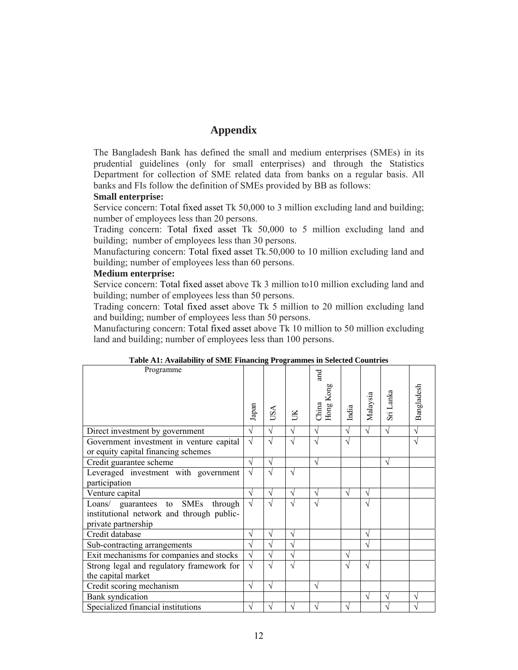# **Appendix**

The Bangladesh Bank has defined the small and medium enterprises (SMEs) in its prudential guidelines (only for small enterprises) and through the Statistics Department for collection of SME related data from banks on a regular basis. All banks and FIs follow the definition of SMEs provided by BB as follows:

#### **Small enterprise:**

Service concern: Total fixed asset Tk 50,000 to 3 million excluding land and building; number of employees less than 20 persons.

Trading concern: Total fixed asset Tk 50,000 to 5 million excluding land and building; number of employees less than 30 persons.

Manufacturing concern: Total fixed asset Tk.50,000 to 10 million excluding land and building; number of employees less than 60 persons.

#### **Medium enterprise:**

Service concern: Total fixed asset above Tk 3 million to10 million excluding land and building; number of employees less than 50 persons.

Trading concern: Total fixed asset above Tk 5 million to 20 million excluding land and building; number of employees less than 50 persons.

Manufacturing concern: Total fixed asset above Tk 10 million to 50 million excluding land and building; number of employees less than 100 persons.

| Programme                                                                                                |            |               |            | and<br>Hong Kong |           | Malaysia  | Sri Lanka | Bangladesh |
|----------------------------------------------------------------------------------------------------------|------------|---------------|------------|------------------|-----------|-----------|-----------|------------|
|                                                                                                          | Japan      | USA           | JK         | China            | India     |           |           |            |
| Direct investment by government                                                                          | $\sqrt{}$  | $\sqrt{}$     | V          | $\sqrt{}$        | $\sqrt{}$ | $\sqrt{}$ | $\sqrt{}$ | $\sqrt{}$  |
| Government investment in venture capital<br>or equity capital financing schemes                          | $\sqrt{}$  |               | Ñ          |                  | V         |           |           | N          |
| Credit guarantee scheme                                                                                  | V          | N             |            | V                |           |           | V         |            |
| Leveraged investment with government<br>participation                                                    | $\sqrt{}$  | ٦             | V          |                  |           |           |           |            |
| Venture capital                                                                                          | ٦          | $\mathcal{L}$ | $\sqrt{}$  | N                |           | V         |           |            |
| Loans/ guarantees to SMEs<br>through<br>institutional network and through public-<br>private partnership | $\sqrt{ }$ | $\sqrt{2}$    | $\sqrt{ }$ | V                |           | V         |           |            |
| Credit database                                                                                          |            | N             | V          |                  |           | V         |           |            |
| Sub-contracting arrangements                                                                             |            | $\mathcal{L}$ | N          |                  |           | N         |           |            |
| Exit mechanisms for companies and stocks                                                                 | N          |               | $\sqrt{}$  |                  |           |           |           |            |
| Strong legal and regulatory framework for<br>the capital market                                          | $\sqrt{}$  |               | N          |                  |           | V         |           |            |
| Credit scoring mechanism                                                                                 | $\sqrt{}$  | $\mathcal{N}$ |            | N                |           |           |           |            |
| <b>Bank</b> syndication                                                                                  |            |               |            |                  |           | V         | $\sqrt{}$ | V          |
| Specialized financial institutions                                                                       | V          |               |            |                  |           |           | N         |            |

## **Table A1: Availability of SME Financing Programmes in Selected Countries**